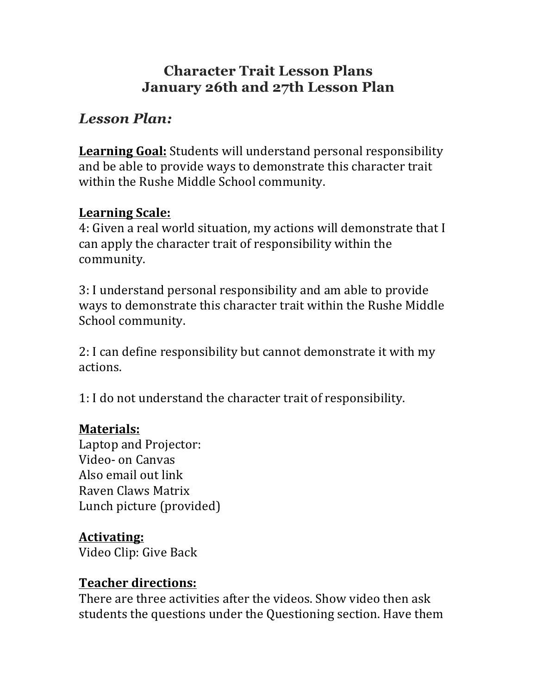# **Character Trait Lesson Plans January 26th and 27th Lesson Plan**

# *Lesson Plan:*

**Learning Goal:** Students will understand personal responsibility and be able to provide ways to demonstrate this character trait within the Rushe Middle School community.

#### **Learning Scale:**

4: Given a real world situation, my actions will demonstrate that I can apply the character trait of responsibility within the community.

3: I understand personal responsibility and am able to provide ways to demonstrate this character trait within the Rushe Middle School community.

2: I can define responsibility but cannot demonstrate it with my actions.

1: I do not understand the character trait of responsibility.

#### **Materials:**

Laptop and Projector: Video- on Canvas Also email out link Raven Claws Matrix Lunch picture (provided)

## **Activating:**

Video Clip: Give Back

#### **Teacher directions:**

There are three activities after the videos. Show video then ask students the questions under the Questioning section. Have them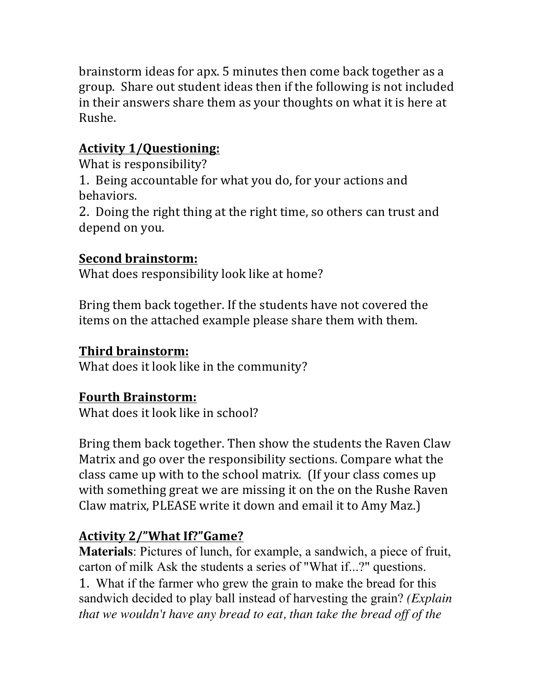brainstorm ideas for apx. 5 minutes then come back together as a group. Share out student ideas then if the following is not included in their answers share them as your thoughts on what it is here at Rushe.

# **Activity 1/Questioning:**

What is responsibility?

1. Being accountable for what you do, for your actions and behaviors.

2. Doing the right thing at the right time, so others can trust and depend on you.

# **Second brainstorm:**

What does responsibility look like at home?

Bring them back together. If the students have not covered the items on the attached example please share them with them.

## **Third brainstorm:**

What does it look like in the community?

# **Fourth Brainstorm:**

What does it look like in school?

Bring them back together. Then show the students the Raven Claw Matrix and go over the responsibility sections. Compare what the class came up with to the school matrix. (If your class comes up with something great we are missing it on the on the Rushe Raven Claw matrix, PLEASE write it down and email it to Amy Maz.)

## **Activity 2/"What If?"Game?**

**Materials**: Pictures of lunch, for example, a sandwich, a piece of fruit, carton of milk Ask the students a series of "What if...?" questions. 1. What if the farmer who grew the grain to make the bread for this sandwich decided to play ball instead of harvesting the grain? *(Explain that we wouldn't have any bread to eat, than take the bread off of the*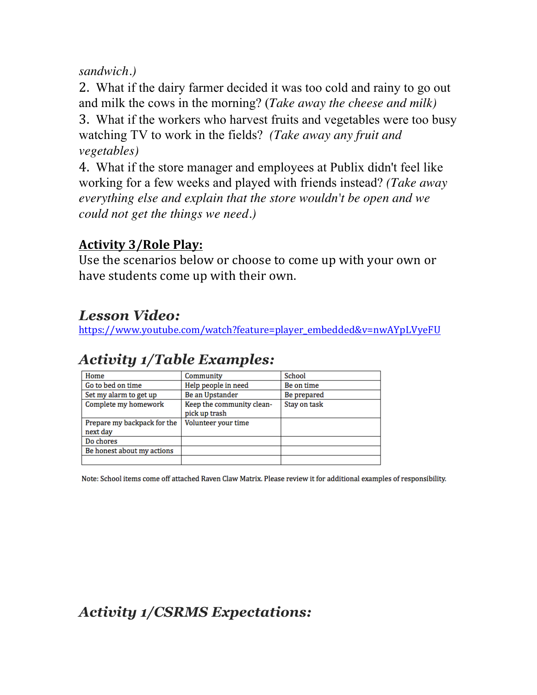#### *sandwich.)*

2. What if the dairy farmer decided it was too cold and rainy to go out and milk the cows in the morning? (*Take away the cheese and milk)*  3. What if the workers who harvest fruits and vegetables were too busy watching TV to work in the fields? *(Take away any fruit and vegetables)* 

4. What if the store manager and employees at Publix didn't feel like working for a few weeks and played with friends instead? *(Take away everything else and explain that the store wouldn't be open and we could not get the things we need.)* 

## **Activity 3/Role Play:**

Use the scenarios below or choose to come up with your own or have students come up with their own.

# *Lesson Video:*

https://www.youtube.com/watch?feature=player\_embedded&v=nwAYpLVyeFU

# *Activity 1/Table Examples:*

| Home                        | Community                                  | School       |
|-----------------------------|--------------------------------------------|--------------|
| Go to bed on time           | Help people in need                        | Be on time   |
| Set my alarm to get up      | Be an Upstander                            | Be prepared  |
| Complete my homework        | Keep the community clean-<br>pick up trash | Stay on task |
| Prepare my backpack for the | Volunteer your time                        |              |
| next day                    |                                            |              |
| Do chores                   |                                            |              |
| Be honest about my actions  |                                            |              |
|                             |                                            |              |

Note: School items come off attached Raven Claw Matrix. Please review it for additional examples of responsibility.

# *Activity 1/CSRMS Expectations:*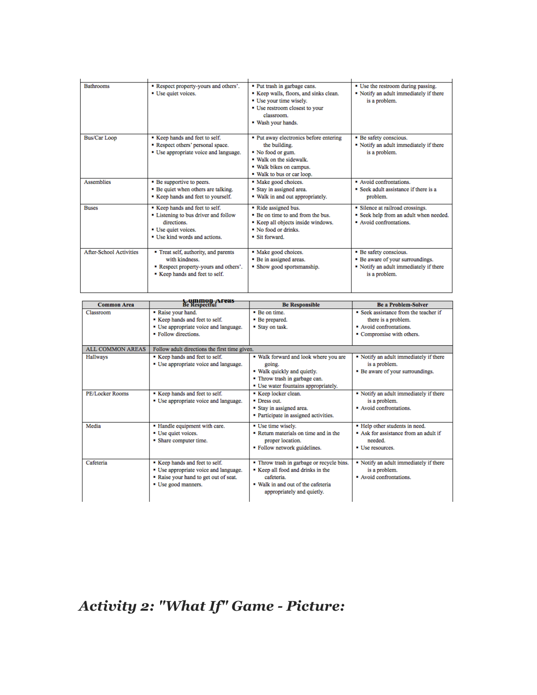| <b>Bathrooms</b>               | Respect property-yours and others'.<br>• Use quiet voices.                                                                                  | • Put trash in garbage cans.<br>Keep walls, floors, and sinks clean.<br>• Use your time wisely.<br>• Use restroom closest to your<br>classroom.<br>. Wash your hands. | • Use the restroom during passing.<br>" Notify an adult immediately if there<br>is a problem.                         |
|--------------------------------|---------------------------------------------------------------------------------------------------------------------------------------------|-----------------------------------------------------------------------------------------------------------------------------------------------------------------------|-----------------------------------------------------------------------------------------------------------------------|
| Bus/Car Loop                   | Keep hands and feet to self.<br>Respect others' personal space.<br>• Use appropriate voice and language.                                    | • Put away electronics before entering<br>the building.<br>• No food or gum.<br>. Walk on the sidewalk.<br>· Walk bikes on campus.<br>. Walk to bus or car loop.      | • Be safety conscious.<br>• Notify an adult immediately if there<br>is a problem.                                     |
| <b>Assemblies</b>              | • Be supportive to peers.<br>• Be quiet when others are talking.<br>Keep hands and feet to yourself.                                        | • Make good choices.<br>Stay in assigned area.<br>. Walk in and out appropriately.                                                                                    | • Avoid confrontations.<br>• Seek adult assistance if there is a<br>problem.                                          |
| <b>Buses</b>                   | Keep hands and feet to self.<br>• Listening to bus driver and follow<br>directions.<br>• Use quiet voices.<br>• Use kind words and actions. | • Ride assigned bus.<br>• Be on time to and from the bus.<br>Keep all objects inside windows.<br>$\blacksquare$ No food or drinks.<br>■ Sit forward.                  | • Silence at railroad crossings.<br>• Seek help from an adult when needed.<br>Avoid confrontations.                   |
| <b>After-School Activities</b> | • Treat self, authority, and parents<br>with kindness.<br>Respect property-yours and others'.<br>Keep hands and feet to self.               | • Make good choices.<br>• Be in assigned areas.<br>• Show good sportsmanship.                                                                                         | • Be safety conscious.<br>• Be aware of your surroundings.<br>• Notify an adult immediately if there<br>is a problem. |

| <b>Common Area</b>      | <b>Common Areas</b><br>Be Respectful                                                                                                  | <b>Be Responsible</b>                                                                                                                                          | <b>Be a Problem-Solver</b>                                                                                         |  |  |  |
|-------------------------|---------------------------------------------------------------------------------------------------------------------------------------|----------------------------------------------------------------------------------------------------------------------------------------------------------------|--------------------------------------------------------------------------------------------------------------------|--|--|--|
| Classroom               | • Raise your hand.<br>Keep hands and feet to self.<br>• Use appropriate voice and language.<br>• Follow directions.                   | • Be on time.<br>• Be prepared.<br>Stay on task.                                                                                                               | • Seek assistance from the teacher if<br>there is a problem.<br>Avoid confrontations.<br>• Compromise with others. |  |  |  |
| <b>ALL COMMON AREAS</b> |                                                                                                                                       | Follow adult directions the first time given.                                                                                                                  |                                                                                                                    |  |  |  |
| Hallways                | Keep hands and feet to self.<br>• Use appropriate voice and language.                                                                 | . Walk forward and look where you are<br>going.<br>. Walk quickly and quietly.<br>• Throw trash in garbage can.<br>• Use water fountains appropriately.        | • Notify an adult immediately if there<br>is a problem.<br>• Be aware of your surroundings.                        |  |  |  |
| <b>PE/Locker Rooms</b>  | Keep hands and feet to self.<br>• Use appropriate voice and language.                                                                 | Keep locker clean.<br>• Dress out.<br>Stay in assigned area.<br>• Participate in assigned activities.                                                          | • Notify an adult immediately if there<br>is a problem.<br>Avoid confrontations.                                   |  |  |  |
| Media                   | • Handle equipment with care.<br>• Use quiet voices.<br>• Share computer time.                                                        | • Use time wisely.<br>Return materials on time and in the<br>proper location.<br>• Follow network guidelines.                                                  | • Help other students in need.<br>Ask for assistance from an adult if<br>needed.<br>• Use resources.               |  |  |  |
| Cafeteria               | Keep hands and feet to self.<br>• Use appropriate voice and language.<br>" Raise your hand to get out of seat.<br>• Use good manners. | • Throw trash in garbage or recycle bins.<br>Keep all food and drinks in the<br>cafeteria.<br>. Walk in and out of the cafeteria<br>appropriately and quietly. | • Notify an adult immediately if there<br>is a problem.<br>Avoid confrontations.                                   |  |  |  |

*Activity 2: "What If" Game - Picture:*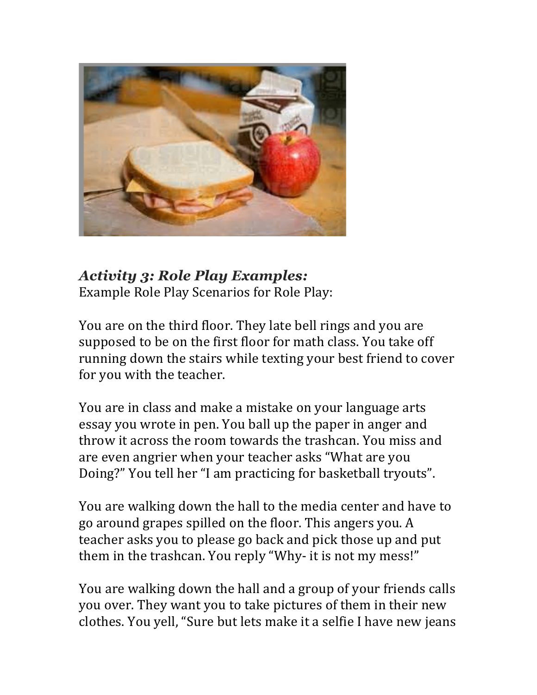

#### *Activity 3: Role Play Examples:* Example Role Play Scenarios for Role Play:

You are on the third floor. They late bell rings and you are supposed to be on the first floor for math class. You take off running down the stairs while texting your best friend to cover for you with the teacher.

You are in class and make a mistake on your language arts essay you wrote in pen. You ball up the paper in anger and throw it across the room towards the trashcan. You miss and are even angrier when your teacher asks "What are you Doing?" You tell her "I am practicing for basketball tryouts".

You are walking down the hall to the media center and have to go around grapes spilled on the floor. This angers you. A teacher asks you to please go back and pick those up and put them in the trashcan. You reply "Why- it is not my mess!"

You are walking down the hall and a group of your friends calls you over. They want you to take pictures of them in their new clothes. You yell, "Sure but lets make it a selfie I have new jeans